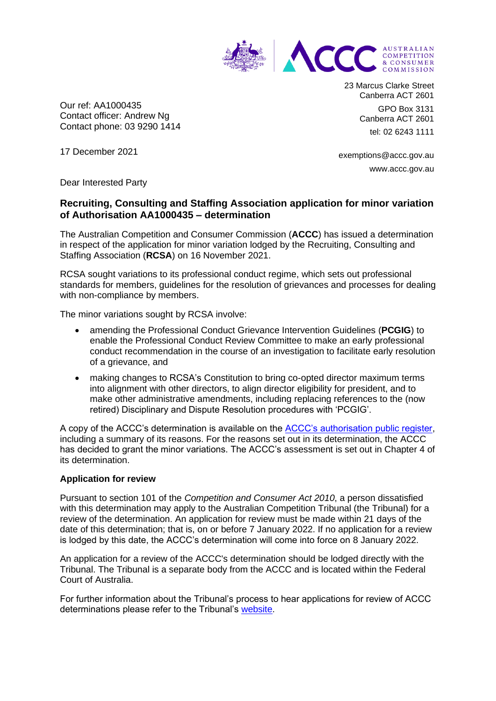

Our ref: AA1000435 Contact officer: Andrew Ng Contact phone: 03 9290 1414 23 Marcus Clarke Street Canberra ACT 2601 GPO Box 3131 Canberra ACT 2601 tel: 02 6243 1111

17 December 2021

exemptions@accc.gov.au www.accc.gov.au

Dear Interested Party

## **Recruiting, Consulting and Staffing Association application for minor variation of Authorisation AA1000435 – determination**

The Australian Competition and Consumer Commission (**ACCC**) has issued a determination in respect of the application for minor variation lodged by the Recruiting, Consulting and Staffing Association (**RCSA**) on 16 November 2021.

RCSA sought variations to its professional conduct regime, which sets out professional standards for members, guidelines for the resolution of grievances and processes for dealing with non-compliance by members.

The minor variations sought by RCSA involve:

- amending the Professional Conduct Grievance Intervention Guidelines (**PCGIG**) to enable the Professional Conduct Review Committee to make an early professional conduct recommendation in the course of an investigation to facilitate early resolution of a grievance, and
- making changes to RCSA's Constitution to bring co-opted director maximum terms into alignment with other directors, to align director eligibility for president, and to make other administrative amendments, including replacing references to the (now retired) Disciplinary and Dispute Resolution procedures with 'PCGIG'.

A copy of the ACCC's determination is available on the [ACCC's authorisation public register,](https://www.accc.gov.au/public-registers/authorisations-and-notifications-registers/authorisations-register/recruitment-consulting-and-staffing-association-limited-minor-variation) including a summary of its reasons. For the reasons set out in its determination, the ACCC has decided to grant the minor variations. The ACCC's assessment is set out in Chapter 4 of its determination.

## **Application for review**

Pursuant to section 101 of the *Competition and Consumer Act 2010*, a person dissatisfied with this determination may apply to the Australian Competition Tribunal (the Tribunal) for a review of the determination. An application for review must be made within 21 days of the date of this determination; that is, on or before 7 January 2022. If no application for a review is lodged by this date, the ACCC's determination will come into force on 8 January 2022.

An application for a review of the ACCC's determination should be lodged directly with the Tribunal. The Tribunal is a separate body from the ACCC and is located within the Federal Court of Australia.

For further information about the Tribunal's process to hear applications for review of ACCC determinations please refer to the Tribunal's [website.](https://www.competitiontribunal.gov.au/)